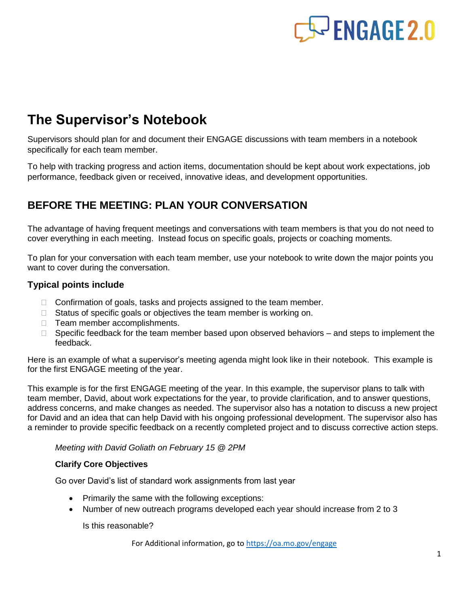

## **The Supervisor's Notebook**

Supervisors should plan for and document their ENGAGE discussions with team members in a notebook specifically for each team member.

To help with tracking progress and action items, documentation should be kept about work expectations, job performance, feedback given or received, innovative ideas, and development opportunities.

## **BEFORE THE MEETING: PLAN YOUR CONVERSATION**

The advantage of having frequent meetings and conversations with team members is that you do not need to cover everything in each meeting. Instead focus on specific goals, projects or coaching moments.

To plan for your conversation with each team member, use your notebook to write down the major points you want to cover during the conversation.

#### **Typical points include**

- $\Box$  Confirmation of goals, tasks and projects assigned to the team member.
- $\Box$  Status of specific goals or objectives the team member is working on.
- $\Box$  Team member accomplishments.
- $\Box$  Specific feedback for the team member based upon observed behaviors and steps to implement the feedback.

Here is an example of what a supervisor's meeting agenda might look like in their notebook. This example is for the first ENGAGE meeting of the year.

This example is for the first ENGAGE meeting of the year. In this example, the supervisor plans to talk with team member, David, about work expectations for the year, to provide clarification, and to answer questions, address concerns, and make changes as needed. The supervisor also has a notation to discuss a new project for David and an idea that can help David with his ongoing professional development. The supervisor also has a reminder to provide specific feedback on a recently completed project and to discuss corrective action steps.

#### *Meeting with David Goliath on February 15 @ 2PM*

#### **Clarify Core Objectives**

Go over David's list of standard work assignments from last year

- Primarily the same with the following exceptions:
- Number of new outreach programs developed each year should increase from 2 to 3

Is this reasonable?

For Additional information, go to<https://oa.mo.gov/engage>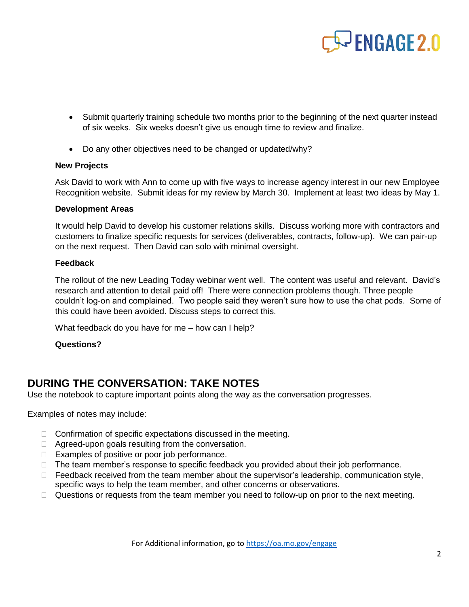# $\sim$  ENGAGE 2.0

- Submit quarterly training schedule two months prior to the beginning of the next quarter instead of six weeks. Six weeks doesn't give us enough time to review and finalize.
- Do any other objectives need to be changed or updated/why?

#### **New Projects**

Ask David to work with Ann to come up with five ways to increase agency interest in our new Employee Recognition website. Submit ideas for my review by March 30. Implement at least two ideas by May 1.

#### **Development Areas**

It would help David to develop his customer relations skills. Discuss working more with contractors and customers to finalize specific requests for services (deliverables, contracts, follow-up). We can pair-up on the next request. Then David can solo with minimal oversight.

#### **Feedback**

The rollout of the new Leading Today webinar went well. The content was useful and relevant. David's research and attention to detail paid off! There were connection problems though. Three people couldn't log-on and complained. Two people said they weren't sure how to use the chat pods. Some of this could have been avoided. Discuss steps to correct this.

What feedback do you have for me – how can I help?

#### **Questions?**

### **DURING THE CONVERSATION: TAKE NOTES**

Use the notebook to capture important points along the way as the conversation progresses.

Examples of notes may include:

- □ Confirmation of specific expectations discussed in the meeting.
- $\Box$  Agreed-upon goals resulting from the conversation.
- $\Box$  Examples of positive or poor job performance.
- $\Box$  The team member's response to specific feedback you provided about their job performance.
- $\Box$  Feedback received from the team member about the supervisor's leadership, communication style, specific ways to help the team member, and other concerns or observations.
- $\Box$  Questions or requests from the team member you need to follow-up on prior to the next meeting.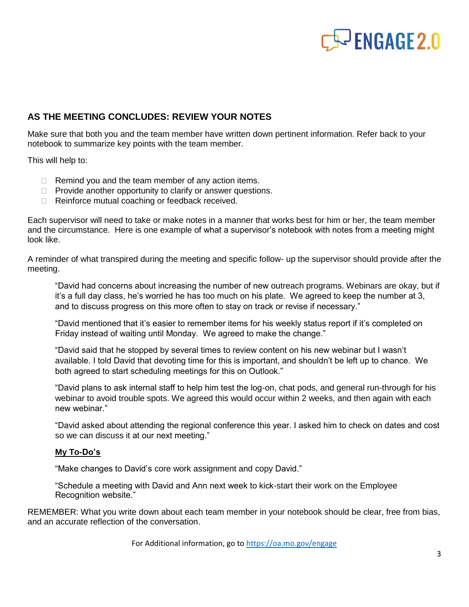

#### **AS THE MEETING CONCLUDES: REVIEW YOUR NOTES**

Make sure that both you and the team member have written down pertinent information. Refer back to your notebook to summarize key points with the team member.

This will help to:

- $\Box$  Remind you and the team member of any action items.
- $\Box$  Provide another opportunity to clarify or answer questions.
- □ Reinforce mutual coaching or feedback received.

Each supervisor will need to take or make notes in a manner that works best for him or her, the team member and the circumstance. Here is one example of what a supervisor's notebook with notes from a meeting might look like.

A reminder of what transpired during the meeting and specific follow- up the supervisor should provide after the meeting.

"David had concerns about increasing the number of new outreach programs. Webinars are okay, but if it's a full day class, he's worried he has too much on his plate. We agreed to keep the number at 3, and to discuss progress on this more often to stay on track or revise if necessary."

"David mentioned that it's easier to remember items for his weekly status report if it's completed on Friday instead of waiting until Monday. We agreed to make the change."

"David said that he stopped by several times to review content on his new webinar but I wasn't available. I told David that devoting time for this is important, and shouldn't be left up to chance. We both agreed to start scheduling meetings for this on Outlook."

"David plans to ask internal staff to help him test the log-on, chat pods, and general run-through for his webinar to avoid trouble spots. We agreed this would occur within 2 weeks, and then again with each new webinar."

"David asked about attending the regional conference this year. I asked him to check on dates and cost so we can discuss it at our next meeting."

#### **My To-Do's**

"Make changes to David's core work assignment and copy David."

"Schedule a meeting with David and Ann next week to kick-start their work on the Employee Recognition website."

REMEMBER: What you write down about each team member in your notebook should be clear, free from bias, and an accurate reflection of the conversation.

For Additional information, go to<https://oa.mo.gov/engage>